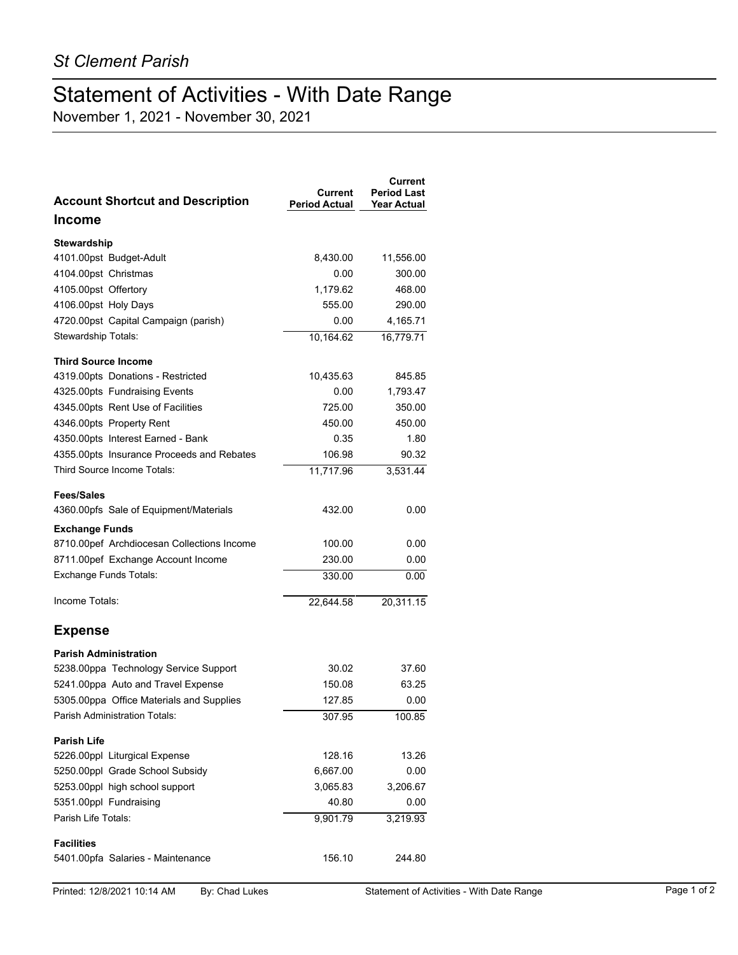## Statement of Activities - With Date Range

November 1, 2021 - November 30, 2021

| <b>Account Shortcut and Description</b>    | <b>Current</b><br><b>Period Actual</b> | Current<br><b>Period Last</b><br><b>Year Actual</b> |
|--------------------------------------------|----------------------------------------|-----------------------------------------------------|
| <b>Income</b>                              |                                        |                                                     |
| Stewardship                                |                                        |                                                     |
| 4101.00pst Budget-Adult                    | 8,430.00                               | 11,556.00                                           |
| 4104.00pst Christmas                       | 0.00                                   | 300.00                                              |
| 4105.00pst Offertory                       | 1,179.62                               | 468.00                                              |
| 4106.00pst Holy Days                       | 555.00                                 | 290.00                                              |
| 4720.00pst Capital Campaign (parish)       | 0.00                                   | 4,165.71                                            |
| Stewardship Totals:                        | 10,164.62                              | 16,779.71                                           |
| <b>Third Source Income</b>                 |                                        |                                                     |
| 4319.00pts Donations - Restricted          | 10,435.63                              | 845.85                                              |
| 4325.00pts Fundraising Events              | 0.00                                   | 1,793.47                                            |
| 4345.00pts Rent Use of Facilities          | 725.00                                 | 350.00                                              |
| 4346.00pts Property Rent                   | 450.00                                 | 450.00                                              |
| 4350.00pts Interest Earned - Bank          | 0.35                                   | 1.80                                                |
| 4355.00pts Insurance Proceeds and Rebates  | 106.98                                 | 90.32                                               |
| Third Source Income Totals:                | 11,717.96                              | 3,531.44                                            |
| <b>Fees/Sales</b>                          |                                        |                                                     |
| 4360.00pfs Sale of Equipment/Materials     | 432.00                                 | 0.00                                                |
| <b>Exchange Funds</b>                      |                                        |                                                     |
| 8710.00pef Archdiocesan Collections Income | 100.00                                 | 0.00                                                |
| 8711.00pef Exchange Account Income         | 230.00                                 | 0.00                                                |
| <b>Exchange Funds Totals:</b>              | 330.00                                 | 0.00                                                |
|                                            |                                        |                                                     |
| Income Totals:                             | 22,644.58                              | 20,311.15                                           |
| <b>Expense</b>                             |                                        |                                                     |
| <b>Parish Administration</b>               |                                        |                                                     |
| 5238.00ppa Technology Service Support      | 30.02                                  | 37.60                                               |
| 5241.00ppa Auto and Travel Expense         | 150.08                                 | 63.25                                               |
| 5305.00ppa Office Materials and Supplies   | 127.85                                 | 0.00                                                |
| Parish Administration Totals:              | 307.95                                 | 100.85                                              |
| <b>Parish Life</b>                         |                                        |                                                     |
| 5226.00ppl Liturgical Expense              | 128.16                                 | 13.26                                               |
| 5250.00ppl Grade School Subsidy            | 6,667.00                               | 0.00                                                |
| 5253.00ppl high school support             | 3,065.83                               | 3,206.67                                            |
| 5351.00ppl Fundraising                     | 40.80                                  | 0.00                                                |
| Parish Life Totals:                        | 9,901.79                               | 3,219.93                                            |
| <b>Facilities</b>                          |                                        |                                                     |
| 5401.00pfa Salaries - Maintenance          | 156.10                                 | 244.80                                              |